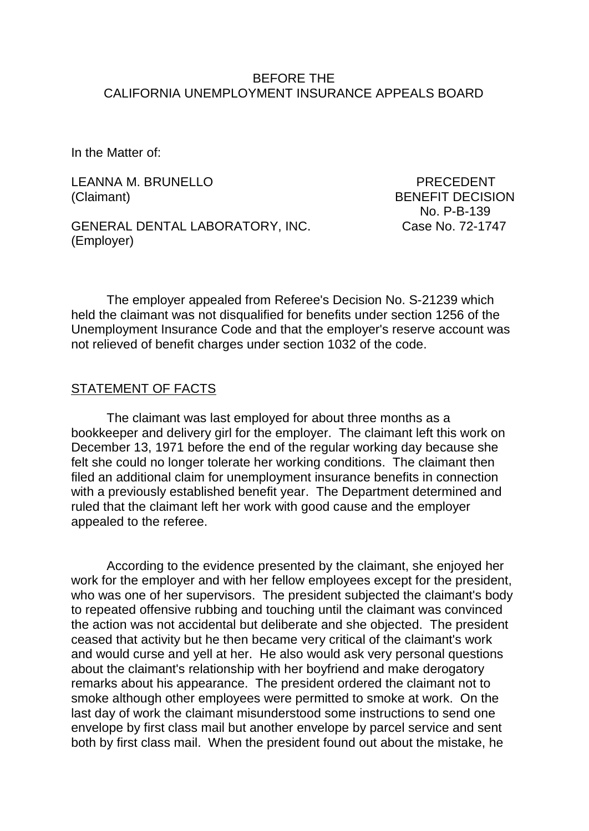### BEFORE THE CALIFORNIA UNEMPLOYMENT INSURANCE APPEALS BOARD

In the Matter of:

LEANNA M. BRUNELLO PRECEDENT (Claimant) BENEFIT DECISION

GENERAL DENTAL LABORATORY, INC. Case No. 72-1747 (Employer)

No. P-B-139

The employer appealed from Referee's Decision No. S-21239 which held the claimant was not disqualified for benefits under section 1256 of the Unemployment Insurance Code and that the employer's reserve account was not relieved of benefit charges under section 1032 of the code.

### STATEMENT OF FACTS

The claimant was last employed for about three months as a bookkeeper and delivery girl for the employer. The claimant left this work on December 13, 1971 before the end of the regular working day because she felt she could no longer tolerate her working conditions. The claimant then filed an additional claim for unemployment insurance benefits in connection with a previously established benefit year. The Department determined and ruled that the claimant left her work with good cause and the employer appealed to the referee.

According to the evidence presented by the claimant, she enjoyed her work for the employer and with her fellow employees except for the president, who was one of her supervisors. The president subjected the claimant's body to repeated offensive rubbing and touching until the claimant was convinced the action was not accidental but deliberate and she objected. The president ceased that activity but he then became very critical of the claimant's work and would curse and yell at her. He also would ask very personal questions about the claimant's relationship with her boyfriend and make derogatory remarks about his appearance. The president ordered the claimant not to smoke although other employees were permitted to smoke at work. On the last day of work the claimant misunderstood some instructions to send one envelope by first class mail but another envelope by parcel service and sent both by first class mail. When the president found out about the mistake, he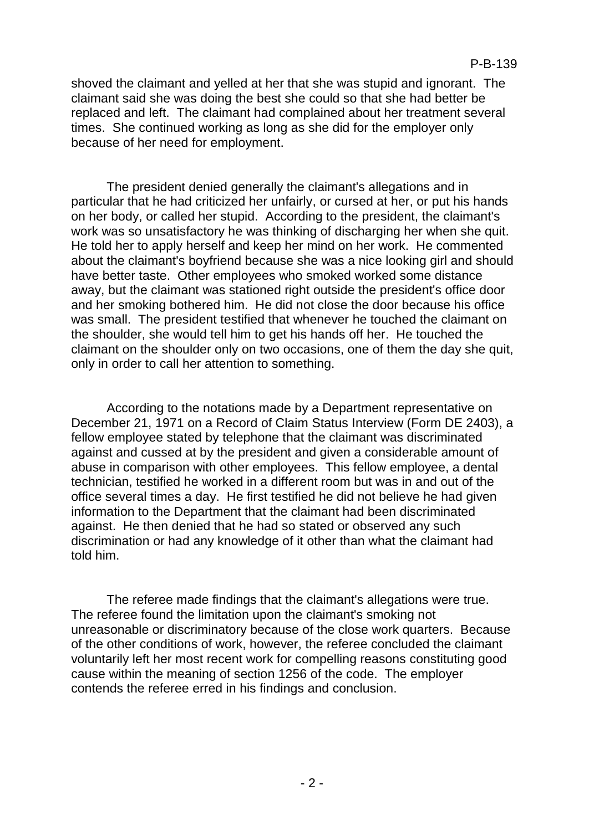shoved the claimant and yelled at her that she was stupid and ignorant. The claimant said she was doing the best she could so that she had better be replaced and left. The claimant had complained about her treatment several times. She continued working as long as she did for the employer only because of her need for employment.

The president denied generally the claimant's allegations and in particular that he had criticized her unfairly, or cursed at her, or put his hands on her body, or called her stupid. According to the president, the claimant's work was so unsatisfactory he was thinking of discharging her when she quit. He told her to apply herself and keep her mind on her work. He commented about the claimant's boyfriend because she was a nice looking girl and should have better taste. Other employees who smoked worked some distance away, but the claimant was stationed right outside the president's office door and her smoking bothered him. He did not close the door because his office was small. The president testified that whenever he touched the claimant on the shoulder, she would tell him to get his hands off her. He touched the claimant on the shoulder only on two occasions, one of them the day she quit, only in order to call her attention to something.

According to the notations made by a Department representative on December 21, 1971 on a Record of Claim Status Interview (Form DE 2403), a fellow employee stated by telephone that the claimant was discriminated against and cussed at by the president and given a considerable amount of abuse in comparison with other employees. This fellow employee, a dental technician, testified he worked in a different room but was in and out of the office several times a day. He first testified he did not believe he had given information to the Department that the claimant had been discriminated against. He then denied that he had so stated or observed any such discrimination or had any knowledge of it other than what the claimant had told him.

The referee made findings that the claimant's allegations were true. The referee found the limitation upon the claimant's smoking not unreasonable or discriminatory because of the close work quarters. Because of the other conditions of work, however, the referee concluded the claimant voluntarily left her most recent work for compelling reasons constituting good cause within the meaning of section 1256 of the code. The employer contends the referee erred in his findings and conclusion.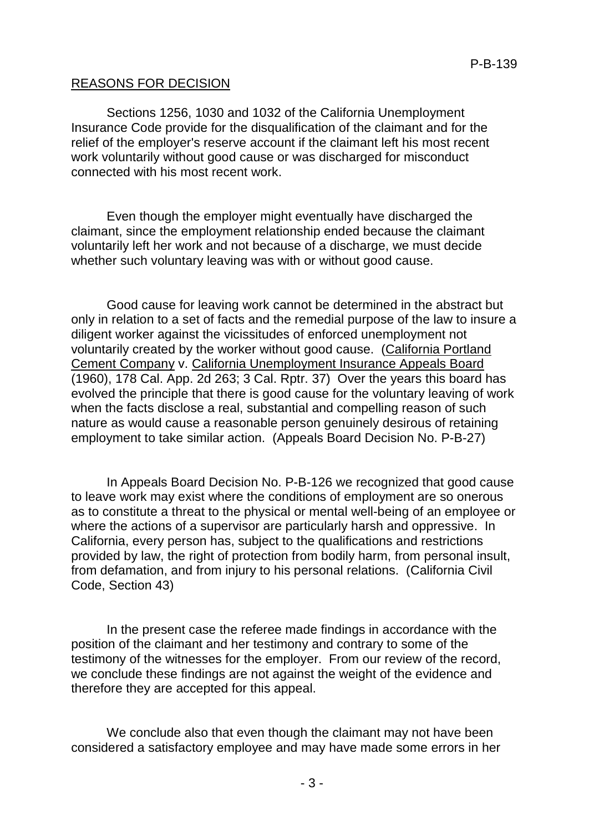### REASONS FOR DECISION

Sections 1256, 1030 and 1032 of the California Unemployment Insurance Code provide for the disqualification of the claimant and for the relief of the employer's reserve account if the claimant left his most recent work voluntarily without good cause or was discharged for misconduct connected with his most recent work.

Even though the employer might eventually have discharged the claimant, since the employment relationship ended because the claimant voluntarily left her work and not because of a discharge, we must decide whether such voluntary leaving was with or without good cause.

Good cause for leaving work cannot be determined in the abstract but only in relation to a set of facts and the remedial purpose of the law to insure a diligent worker against the vicissitudes of enforced unemployment not voluntarily created by the worker without good cause. (California Portland Cement Company v. California Unemployment Insurance Appeals Board (1960), 178 Cal. App. 2d 263; 3 Cal. Rptr. 37) Over the years this board has evolved the principle that there is good cause for the voluntary leaving of work when the facts disclose a real, substantial and compelling reason of such nature as would cause a reasonable person genuinely desirous of retaining employment to take similar action. (Appeals Board Decision No. P-B-27)

In Appeals Board Decision No. P-B-126 we recognized that good cause to leave work may exist where the conditions of employment are so onerous as to constitute a threat to the physical or mental well-being of an employee or where the actions of a supervisor are particularly harsh and oppressive. In California, every person has, subject to the qualifications and restrictions provided by law, the right of protection from bodily harm, from personal insult, from defamation, and from injury to his personal relations. (California Civil Code, Section 43)

In the present case the referee made findings in accordance with the position of the claimant and her testimony and contrary to some of the testimony of the witnesses for the employer. From our review of the record, we conclude these findings are not against the weight of the evidence and therefore they are accepted for this appeal.

We conclude also that even though the claimant may not have been considered a satisfactory employee and may have made some errors in her